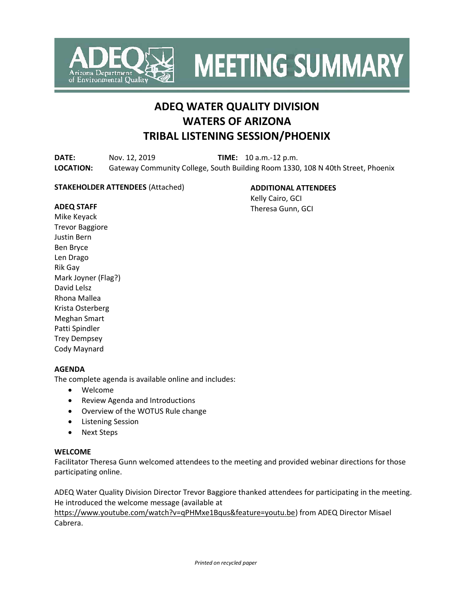

**MEETING SUMMARY** 

# **ADEQ WATER QUALITY DIVISION WATERS OF ARIZONA TRIBAL LISTENING SESSION/PHOENIX**

**DATE:** Nov. 12, 2019 **TIME:** 10 a.m.-12 p.m. **LOCATION:** Gateway Community College, South Building Room 1330, 108 N 40th Street, Phoenix

#### **STAKEHOLDER ATTENDEES** (Attached)

**ADDITIONAL ATTENDEES** Kelly Cairo, GCI Theresa Gunn, GCI

#### **ADEQ STAFF**

Mike Keyack Trevor Baggiore Justin Bern Ben Bryce Len Drago Rik Gay Mark Joyner (Flag?) David Lelsz Rhona Mallea Krista Osterberg Meghan Smart Patti Spindler Trey Dempsey Cody Maynard

#### **AGENDA**

The complete agenda is available online and includes:

- Welcome
- Review Agenda and Introductions
- Overview of the WOTUS Rule change
- Listening Session
- Next Steps

#### **WELCOME**

Facilitator Theresa Gunn welcomed attendees to the meeting and provided webinar directions for those participating online.

ADEQ Water Quality Division Director Trevor Baggiore thanked attendees for participating in the meeting. He introduced the welcome message (available at

[https://www.youtube.com/watch?v=qPHMxe1Bqus&feature=youtu.be\)](https://www.youtube.com/watch?v=qPHMxe1Bqus&feature=youtu.be) from ADEQ Director Misael Cabrera.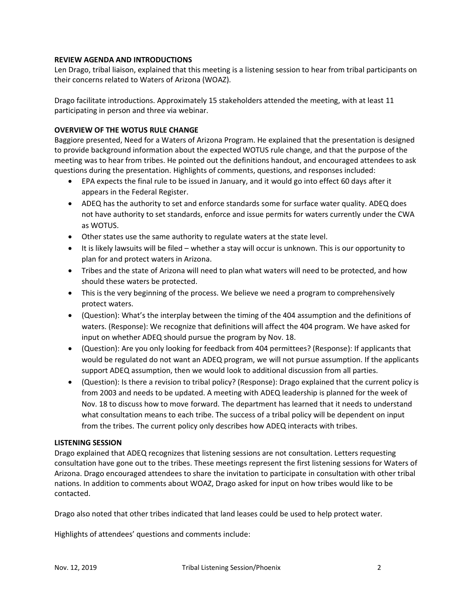#### **REVIEW AGENDA AND INTRODUCTIONS**

Len Drago, tribal liaison, explained that this meeting is a listening session to hear from tribal participants on their concerns related to Waters of Arizona (WOAZ).

Drago facilitate introductions. Approximately 15 stakeholders attended the meeting, with at least 11 participating in person and three via webinar.

### **OVERVIEW OF THE WOTUS RULE CHANGE**

Baggiore presented, Need for a Waters of Arizona Program. He explained that the presentation is designed to provide background information about the expected WOTUS rule change, and that the purpose of the meeting was to hear from tribes. He pointed out the definitions handout, and encouraged attendees to ask questions during the presentation. Highlights of comments, questions, and responses included:

- EPA expects the final rule to be issued in January, and it would go into effect 60 days after it appears in the Federal Register.
- ADEQ has the authority to set and enforce standards some for surface water quality. ADEQ does not have authority to set standards, enforce and issue permits for waters currently under the CWA as WOTUS.
- Other states use the same authority to regulate waters at the state level.
- It is likely lawsuits will be filed whether a stay will occur is unknown. This is our opportunity to plan for and protect waters in Arizona.
- Tribes and the state of Arizona will need to plan what waters will need to be protected, and how should these waters be protected.
- This is the very beginning of the process. We believe we need a program to comprehensively protect waters.
- (Question): What's the interplay between the timing of the 404 assumption and the definitions of waters. (Response): We recognize that definitions will affect the 404 program. We have asked for input on whether ADEQ should pursue the program by Nov. 18.
- (Question): Are you only looking for feedback from 404 permittees? (Response): If applicants that would be regulated do not want an ADEQ program, we will not pursue assumption. If the applicants support ADEQ assumption, then we would look to additional discussion from all parties.
- (Question): Is there a revision to tribal policy? (Response): Drago explained that the current policy is from 2003 and needs to be updated. A meeting with ADEQ leadership is planned for the week of Nov. 18 to discuss how to move forward. The department has learned that it needs to understand what consultation means to each tribe. The success of a tribal policy will be dependent on input from the tribes. The current policy only describes how ADEQ interacts with tribes.

#### **LISTENING SESSION**

Drago explained that ADEQ recognizes that listening sessions are not consultation. Letters requesting consultation have gone out to the tribes. These meetings represent the first listening sessions for Waters of Arizona. Drago encouraged attendees to share the invitation to participate in consultation with other tribal nations. In addition to comments about WOAZ, Drago asked for input on how tribes would like to be contacted.

Drago also noted that other tribes indicated that land leases could be used to help protect water.

Highlights of attendees' questions and comments include: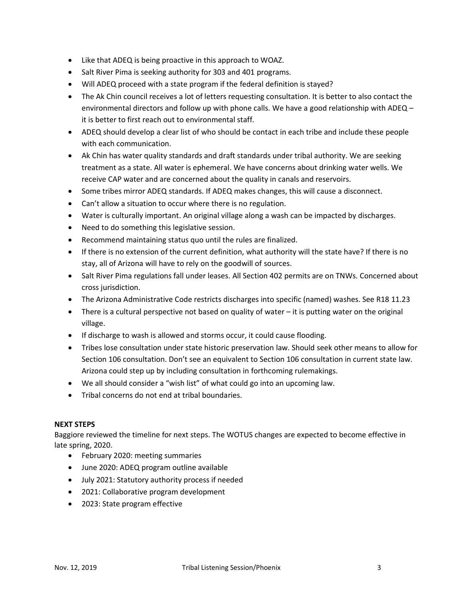- Like that ADEQ is being proactive in this approach to WOAZ.
- Salt River Pima is seeking authority for 303 and 401 programs.
- Will ADEQ proceed with a state program if the federal definition is stayed?
- The Ak Chin council receives a lot of letters requesting consultation. It is better to also contact the environmental directors and follow up with phone calls. We have a good relationship with ADEQ – it is better to first reach out to environmental staff.
- ADEQ should develop a clear list of who should be contact in each tribe and include these people with each communication.
- Ak Chin has water quality standards and draft standards under tribal authority. We are seeking treatment as a state. All water is ephemeral. We have concerns about drinking water wells. We receive CAP water and are concerned about the quality in canals and reservoirs.
- Some tribes mirror ADEQ standards. If ADEQ makes changes, this will cause a disconnect.
- Can't allow a situation to occur where there is no regulation.
- Water is culturally important. An original village along a wash can be impacted by discharges.
- Need to do something this legislative session.
- Recommend maintaining status quo until the rules are finalized.
- If there is no extension of the current definition, what authority will the state have? If there is no stay, all of Arizona will have to rely on the goodwill of sources.
- Salt River Pima regulations fall under leases. All Section 402 permits are on TNWs. Concerned about cross jurisdiction.
- The Arizona Administrative Code restricts discharges into specific (named) washes. See R18 11.23
- There is a cultural perspective not based on quality of water it is putting water on the original village.
- If discharge to wash is allowed and storms occur, it could cause flooding.
- Tribes lose consultation under state historic preservation law. Should seek other means to allow for Section 106 consultation. Don't see an equivalent to Section 106 consultation in current state law. Arizona could step up by including consultation in forthcoming rulemakings.
- We all should consider a "wish list" of what could go into an upcoming law.
- Tribal concerns do not end at tribal boundaries.

#### **NEXT STEPS**

Baggiore reviewed the timeline for next steps. The WOTUS changes are expected to become effective in late spring, 2020.

- February 2020: meeting summaries
- June 2020: ADEQ program outline available
- July 2021: Statutory authority process if needed
- 2021: Collaborative program development
- 2023: State program effective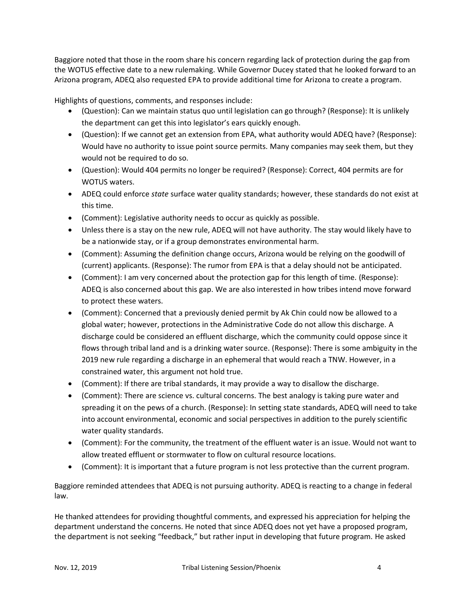Baggiore noted that those in the room share his concern regarding lack of protection during the gap from the WOTUS effective date to a new rulemaking. While Governor Ducey stated that he looked forward to an Arizona program, ADEQ also requested EPA to provide additional time for Arizona to create a program.

Highlights of questions, comments, and responses include:

- (Question): Can we maintain status quo until legislation can go through? (Response): It is unlikely the department can get this into legislator's ears quickly enough.
- (Question): If we cannot get an extension from EPA, what authority would ADEQ have? (Response): Would have no authority to issue point source permits. Many companies may seek them, but they would not be required to do so.
- (Question): Would 404 permits no longer be required? (Response): Correct, 404 permits are for WOTUS waters.
- ADEQ could enforce *state* surface water quality standards; however, these standards do not exist at this time.
- (Comment): Legislative authority needs to occur as quickly as possible.
- Unless there is a stay on the new rule, ADEQ will not have authority. The stay would likely have to be a nationwide stay, or if a group demonstrates environmental harm.
- (Comment): Assuming the definition change occurs, Arizona would be relying on the goodwill of (current) applicants. (Response): The rumor from EPA is that a delay should not be anticipated.
- (Comment): I am very concerned about the protection gap for this length of time. (Response): ADEQ is also concerned about this gap. We are also interested in how tribes intend move forward to protect these waters.
- (Comment): Concerned that a previously denied permit by Ak Chin could now be allowed to a global water; however, protections in the Administrative Code do not allow this discharge. A discharge could be considered an effluent discharge, which the community could oppose since it flows through tribal land and is a drinking water source. (Response): There is some ambiguity in the 2019 new rule regarding a discharge in an ephemeral that would reach a TNW. However, in a constrained water, this argument not hold true.
- (Comment): If there are tribal standards, it may provide a way to disallow the discharge.
- (Comment): There are science vs. cultural concerns. The best analogy is taking pure water and spreading it on the pews of a church. (Response): In setting state standards, ADEQ will need to take into account environmental, economic and social perspectives in addition to the purely scientific water quality standards.
- (Comment): For the community, the treatment of the effluent water is an issue. Would not want to allow treated effluent or stormwater to flow on cultural resource locations.
- (Comment): It is important that a future program is not less protective than the current program.

Baggiore reminded attendees that ADEQ is not pursuing authority. ADEQ is reacting to a change in federal law.

He thanked attendees for providing thoughtful comments, and expressed his appreciation for helping the department understand the concerns. He noted that since ADEQ does not yet have a proposed program, the department is not seeking "feedback," but rather input in developing that future program. He asked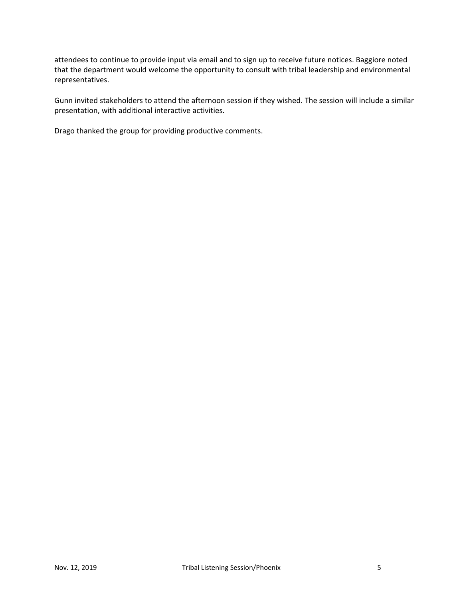attendees to continue to provide input via email and to sign up to receive future notices. Baggiore noted that the department would welcome the opportunity to consult with tribal leadership and environmental representatives.

Gunn invited stakeholders to attend the afternoon session if they wished. The session will include a similar presentation, with additional interactive activities.

Drago thanked the group for providing productive comments.